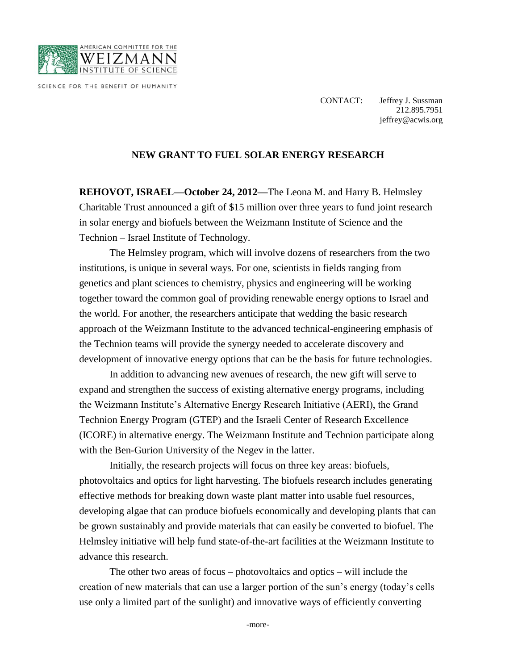

SCIENCE FOR THE BENEFIT OF HUMANITY

CONTACT: Jeffrey J. Sussman 212.895.7951 [jeffrey@acwis.org](mailto:jeffrey@acwis.org)

## **NEW GRANT TO FUEL SOLAR ENERGY RESEARCH**

**REHOVOT, ISRAEL—October 24, 2012—**The Leona M. and Harry B. Helmsley Charitable Trust announced a gift of \$15 million over three years to fund joint research in solar energy and biofuels between the Weizmann Institute of Science and the Technion – Israel Institute of Technology.

The Helmsley program, which will involve dozens of researchers from the two institutions, is unique in several ways. For one, scientists in fields ranging from genetics and plant sciences to chemistry, physics and engineering will be working together toward the common goal of providing renewable energy options to Israel and the world. For another, the researchers anticipate that wedding the basic research approach of the Weizmann Institute to the advanced technical-engineering emphasis of the Technion teams will provide the synergy needed to accelerate discovery and development of innovative energy options that can be the basis for future technologies.

In addition to advancing new avenues of research, the new gift will serve to expand and strengthen the success of existing alternative energy programs, including the Weizmann Institute's Alternative Energy Research Initiative (AERI), the Grand Technion Energy Program (GTEP) and the Israeli Center of Research Excellence (ICORE) in alternative energy. The Weizmann Institute and Technion participate along with the Ben-Gurion University of the Negev in the latter.

Initially, the research projects will focus on three key areas: biofuels, photovoltaics and optics for light harvesting. The biofuels research includes generating effective methods for breaking down waste plant matter into usable fuel resources, developing algae that can produce biofuels economically and developing plants that can be grown sustainably and provide materials that can easily be converted to biofuel. The Helmsley initiative will help fund state-of-the-art facilities at the Weizmann Institute to advance this research.

The other two areas of focus – photovoltaics and optics – will include the creation of new materials that can use a larger portion of the sun's energy (today's cells use only a limited part of the sunlight) and innovative ways of efficiently converting